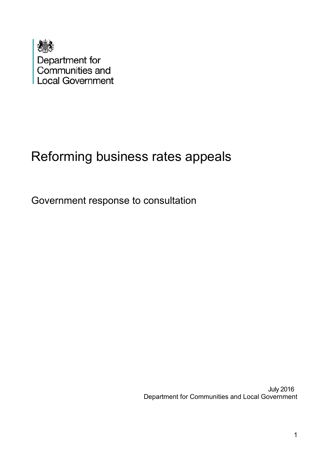

# Reforming business rates appeals

Government response to consultation

 July 2016 Department for Communities and Local Government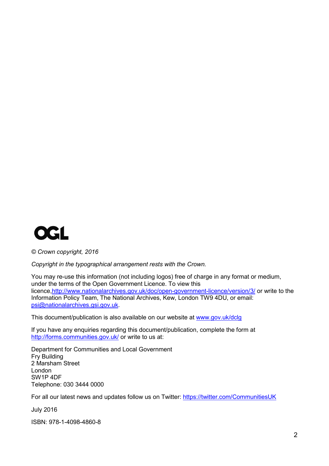

*© Crown copyright, 2016*

*Copyright in the typographical arrangement rests with the Crown.*

You may re-use this information (not including logos) free of charge in any format or medium, under the terms of the Open Government Licence. To view this licence[,http://www.nationalarchives.gov.uk/doc/open-government-licence/version/3/](http://www.nationalarchives.gov.uk/doc/open-government-licence/version/3/) or write to the Information Policy Team, The National Archives, Kew, London TW9 4DU, or email: [psi@nationalarchives.gsi.gov.uk.](mailto:psi@nationalarchives.gsi.gov.uk)

This document/publication is also available on our website at [www.gov.uk/dclg](http://www.gov.uk/dclg)

If you have any enquiries regarding this document/publication, complete the form at <http://forms.communities.gov.uk/> or write to us at:

Department for Communities and Local Government Fry Building 2 Marsham Street London SW1P 4DF Telephone: 030 3444 0000

For all our latest news and updates follow us on Twitter:<https://twitter.com/CommunitiesUK>

July 2016

ISBN: 978-1-4098-4860-8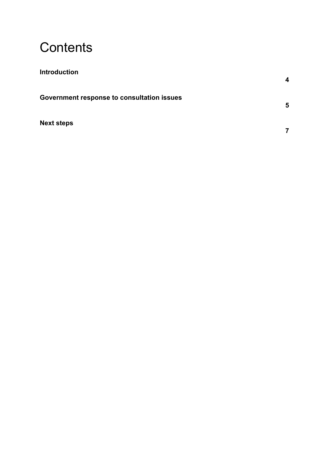### **Contents**

| <b>Introduction</b>                        | 4 |
|--------------------------------------------|---|
| Government response to consultation issues | 5 |
| <b>Next steps</b>                          |   |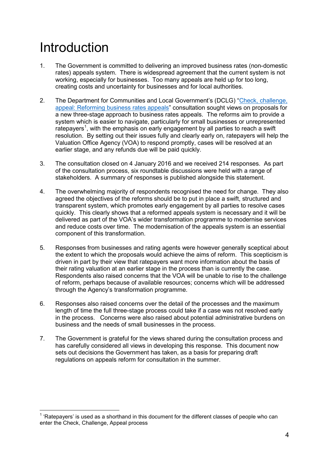## Introduction

- 1. The Government is committed to delivering an improved business rates (non-domestic rates) appeals system. There is widespread agreement that the current system is not working, especially for businesses. Too many appeals are held up for too long, creating costs and uncertainty for businesses and for local authorities.
- 2. The Department for Communities and Local Government's (DCLG) ["Check, challenge,](https://www.gov.uk/government/consultations/reforming-business-rates-appeals-check-challenge-appeal)  [appeal: Reforming business rates appeals"](https://www.gov.uk/government/consultations/reforming-business-rates-appeals-check-challenge-appeal) consultation sought views on proposals for a new three-stage approach to business rates appeals. The reforms aim to provide a system which is easier to navigate, particularly for small businesses or unrepresented ratepayers<sup>[1](#page-3-0)</sup>, with the emphasis on early engagement by all parties to reach a swift resolution. By setting out their issues fully and clearly early on, ratepayers will help the Valuation Office Agency (VOA) to respond promptly, cases will be resolved at an earlier stage, and any refunds due will be paid quickly.
- 3. The consultation closed on 4 January 2016 and we received 214 responses. As part of the consultation process, six roundtable discussions were held with a range of stakeholders. A summary of responses is published alongside this statement.
- 4. The overwhelming majority of respondents recognised the need for change. They also agreed the objectives of the reforms should be to put in place a swift, structured and transparent system, which promotes early engagement by all parties to resolve cases quickly. This clearly shows that a reformed appeals system is necessary and it will be delivered as part of the VOA's wider transformation programme to modernise services and reduce costs over time. The modernisation of the appeals system is an essential component of this transformation.
- 5. Responses from businesses and rating agents were however generally sceptical about the extent to which the proposals would achieve the aims of reform. This scepticism is driven in part by their view that ratepayers want more information about the basis of their rating valuation at an earlier stage in the process than is currently the case. Respondents also raised concerns that the VOA will be unable to rise to the challenge of reform, perhaps because of available resources; concerns which will be addressed through the Agency's transformation programme.
- 6. Responses also raised concerns over the detail of the processes and the maximum length of time the full three-stage process could take if a case was not resolved early in the process. Concerns were also raised about potential administrative burdens on business and the needs of small businesses in the process.
- 7. The Government is grateful for the views shared during the consultation process and has carefully considered all views in developing this response. This document now sets out decisions the Government has taken, as a basis for preparing draft regulations on appeals reform for consultation in the summer.

<span id="page-3-0"></span> $<sup>1</sup>$  'Ratepayers' is used as a shorthand in this document for the different classes of people who can</sup> enter the Check, Challenge, Appeal process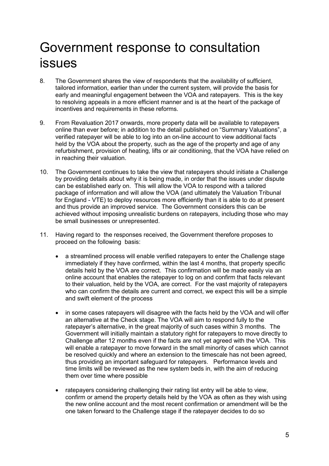### Government response to consultation issues

- 8. The Government shares the view of respondents that the availability of sufficient, tailored information, earlier than under the current system, will provide the basis for early and meaningful engagement between the VOA and ratepayers. This is the key to resolving appeals in a more efficient manner and is at the heart of the package of incentives and requirements in these reforms.
- 9. From Revaluation 2017 onwards, more property data will be available to ratepayers online than ever before; in addition to the detail published on "Summary Valuations", a verified ratepayer will be able to log into an on-line account to view additional facts held by the VOA about the property, such as the age of the property and age of any refurbishment, provision of heating, lifts or air conditioning, that the VOA have relied on in reaching their valuation.
- 10. The Government continues to take the view that ratepayers should initiate a Challenge by providing details about why it is being made, in order that the issues under dispute can be established early on. This will allow the VOA to respond with a tailored package of information and will allow the VOA (and ultimately the Valuation Tribunal for England - VTE) to deploy resources more efficiently than it is able to do at present and thus provide an improved service. The Government considers this can be achieved without imposing unrealistic burdens on ratepayers, including those who may be small businesses or unrepresented.
- 11. Having regard to the responses received, the Government therefore proposes to proceed on the following basis:
	- a streamlined process will enable verified ratepayers to enter the Challenge stage immediately if they have confirmed, within the last 4 months, that property specific details held by the VOA are correct. This confirmation will be made easily via an online account that enables the ratepayer to log on and confirm that facts relevant to their valuation, held by the VOA, are correct. For the vast majority of ratepayers who can confirm the details are current and correct, we expect this will be a simple and swift element of the process
	- in some cases ratepayers will disagree with the facts held by the VOA and will offer an alternative at the Check stage. The VOA will aim to respond fully to the ratepayer's alternative, in the great majority of such cases within 3 months. The Government will initially maintain a statutory right for ratepayers to move directly to Challenge after 12 months even if the facts are not yet agreed with the VOA. This will enable a ratepayer to move forward in the small minority of cases which cannot be resolved quickly and where an extension to the timescale has not been agreed, thus providing an important safeguard for ratepayers. Performance levels and time limits will be reviewed as the new system beds in, with the aim of reducing them over time where possible
	- ratepayers considering challenging their rating list entry will be able to view, confirm or amend the property details held by the VOA as often as they wish using the new online account and the most recent confirmation or amendment will be the one taken forward to the Challenge stage if the ratepayer decides to do so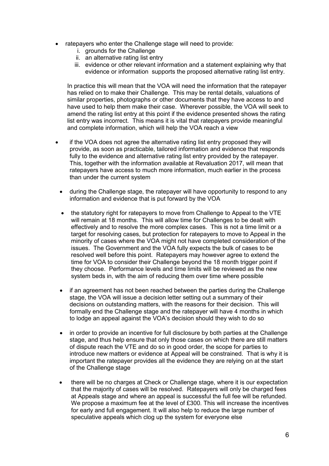- ratepayers who enter the Challenge stage will need to provide:
	- i. grounds for the Challenge
	- ii. an alternative rating list entry
	- iii. evidence or other relevant information and a statement explaining why that evidence or information supports the proposed alternative rating list entry.

In practice this will mean that the VOA will need the information that the ratepayer has relied on to make their Challenge. This may be rental details, valuations of similar properties, photographs or other documents that they have access to and have used to help them make their case. Wherever possible, the VOA will seek to amend the rating list entry at this point if the evidence presented shows the rating list entry was incorrect. This means it is vital that ratepayers provide meaningful and complete information, which will help the VOA reach a view

- if the VOA does not agree the alternative rating list entry proposed they will provide, as soon as practicable, tailored information and evidence that responds fully to the evidence and alternative rating list entry provided by the ratepayer. This, together with the information available at Revaluation 2017, will mean that ratepayers have access to much more information, much earlier in the process than under the current system
- during the Challenge stage, the ratepayer will have opportunity to respond to any information and evidence that is put forward by the VOA
- the statutory right for ratepayers to move from Challenge to Appeal to the VTE will remain at 18 months. This will allow time for Challenges to be dealt with effectively and to resolve the more complex cases. This is not a time limit or a target for resolving cases, but protection for ratepayers to move to Appeal in the minority of cases where the VOA might not have completed consideration of the issues. The Government and the VOA fully expects the bulk of cases to be resolved well before this point. Ratepayers may however agree to extend the time for VOA to consider their Challenge beyond the 18 month trigger point if they choose. Performance levels and time limits will be reviewed as the new system beds in, with the aim of reducing them over time where possible
- if an agreement has not been reached between the parties during the Challenge stage, the VOA will issue a decision letter setting out a summary of their decisions on outstanding matters, with the reasons for their decision. This will formally end the Challenge stage and the ratepayer will have 4 months in which to lodge an appeal against the VOA's decision should they wish to do so
- in order to provide an incentive for full disclosure by both parties at the Challenge stage, and thus help ensure that only those cases on which there are still matters of dispute reach the VTE and do so in good order, the scope for parties to introduce new matters or evidence at Appeal will be constrained. That is why it is important the ratepayer provides all the evidence they are relying on at the start of the Challenge stage
- there will be no charges at Check or Challenge stage, where it is our expectation that the majority of cases will be resolved. Ratepayers will only be charged fees at Appeals stage and where an appeal is successful the full fee will be refunded. We propose a maximum fee at the level of £300. This will increase the incentives for early and full engagement. It will also help to reduce the large number of speculative appeals which clog up the system for everyone else